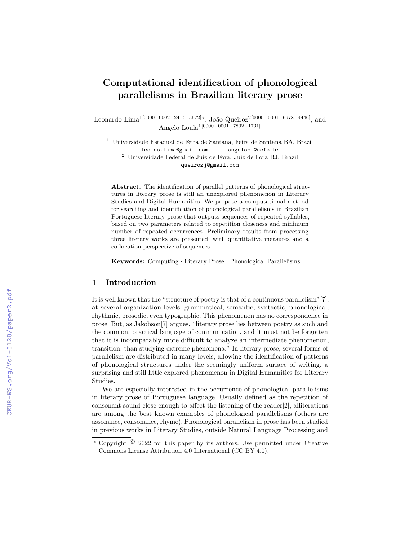# Computational identification of phonological parallelisms in Brazilian literary prose

Leonardo Lima<sup>1</sup>[0000−0002−2414−5672]<sup>\*</sup>, João Queiroz<sup>2[0000–0001–6978–4446]</sup>, and Angelo Loula1[0000−0001−7802−1731]

<sup>1</sup> Universidade Estadual de Feira de Santana, Feira de Santana BA, Brazil leo.os.lima@gmail.com angelocl@uefs.br  $^{\rm 2}$ Universidade Federal de Juiz de Fora, Juiz de Fora RJ, Brazil queirozj@gmail.com

Abstract. The identification of parallel patterns of phonological structures in literary prose is still an unexplored phenomenon in Literary Studies and Digital Humanities. We propose a computational method for searching and identification of phonological parallelisms in Brazilian Portuguese literary prose that outputs sequences of repeated syllables, based on two parameters related to repetition closeness and minimum number of repeated occurrences. Preliminary results from processing three literary works are presented, with quantitative measures and a co-location perspective of sequences.

Keywords: Computing · Literary Prose · Phonological Parallelisms .

## 1 Introduction

It is well known that the "structure of poetry is that of a continuous parallelism"[7], at several organization levels: grammatical, semantic, syntactic, phonological, rhythmic, prosodic, even typographic. This phenomenon has no correspondence in prose. But, as Jakobson[7] argues, "literary prose lies between poetry as such and the common, practical language of communication, and it must not be forgotten that it is incomparably more difficult to analyze an intermediate phenomenon, transition, than studying extreme phenomena." In literary prose, several forms of parallelism are distributed in many levels, allowing the identification of patterns of phonological structures under the seemingly uniform surface of writing, a surprising and still little explored phenomenon in Digital Humanities for Literary Studies.

We are especially interested in the occurrence of phonological parallelisms in literary prose of Portuguese language. Usually defined as the repetition of consonant sound close enough to affect the listening of the reader[2], alliterations are among the best known examples of phonological parallelisms (others are assonance, consonance, rhyme). Phonological parallelism in prose has been studied in previous works in Literary Studies, outside Natural Language Processing and

 $\star$  Copyright  $\odot$  2022 for this paper by its authors. Use permitted under Creative Commons License Attribution 4.0 International (CC BY 4.0).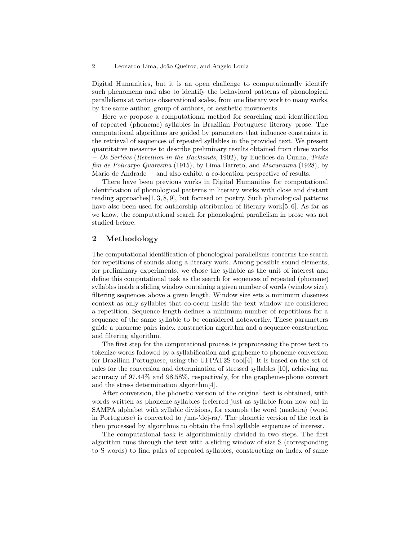#### 2 Leonardo Lima, João Queiroz, and Angelo Loula

Digital Humanities, but it is an open challenge to computationally identify such phenomena and also to identify the behavioral patterns of phonological parallelisms at various observational scales, from one literary work to many works, by the same author, group of authors, or aesthetic movements.

Here we propose a computational method for searching and identification of repeated (phoneme) syllables in Brazilian Portuguese literary prose. The computational algorithms are guided by parameters that influence constraints in the retrieval of sequences of repeated syllables in the provided text. We present quantitative measures to describe preliminary results obtained from three works − Os Sertões (Rebellion in the Backlands, 1902), by Euclides da Cunha, Triste fim de Policarpo Quaresma (1915), by Lima Barreto, and Macunaima (1928), by Mario de Andrade − and also exhibit a co-location perspective of results.

There have been previous works in Digital Humanities for computational identification of phonological patterns in literary works with close and distant reading approaches  $[1, 3, 8, 9]$ , but focused on poetry. Such phonological patterns have also been used for authorship attribution of literary work[5, 6]. As far as we know, the computational search for phonological parallelism in prose was not studied before.

# 2 Methodology

The computational identification of phonological parallelisms concerns the search for repetitions of sounds along a literary work. Among possible sound elements, for preliminary experiments, we chose the syllable as the unit of interest and define this computational task as the search for sequences of repeated (phoneme) syllables inside a sliding window containing a given number of words (window size), filtering sequences above a given length. Window size sets a minimum closeness context as only syllables that co-occur inside the text window are considered a repetition. Sequence length defines a minimum number of repetitions for a sequence of the same syllable to be considered noteworthy. These parameters guide a phoneme pairs index construction algorithm and a sequence construction and filtering algorithm.

The first step for the computational process is preprocessing the prose text to tokenize words followed by a syllabification and grapheme to phoneme conversion for Brazilian Portuguese, using the UFPAT2S tool[4]. It is based on the set of rules for the conversion and determination of stressed syllables [10], achieving an accuracy of 97.44% and 98.58%, respectively, for the grapheme-phone convert and the stress determination algorithm[4].

After conversion, the phonetic version of the original text is obtained, with words written as phoneme syllables (referred just as syllable from now on) in SAMPA alphabet with syllabic divisions, for example the word 〈madeira〉 (wood in Portuguese) is converted to  $/ma$ -'dej-ra $/$ . The phonetic version of the text is then processed by algorithms to obtain the final syllable sequences of interest.

The computational task is algorithmically divided in two steps. The first algorithm runs through the text with a sliding window of size S (corresponding to S words) to find pairs of repeated syllables, constructing an index of same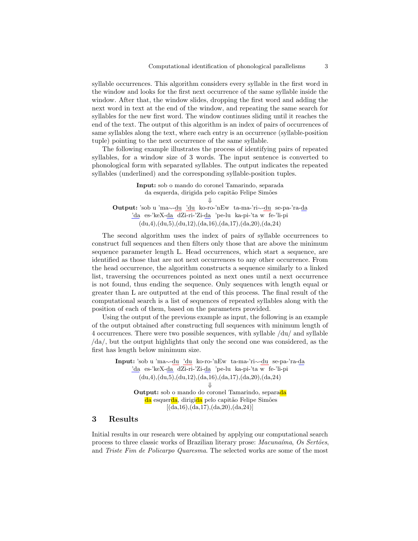syllable occurrences. This algorithm considers every syllable in the first word in the window and looks for the first next occurrence of the same syllable inside the window. After that, the window slides, dropping the first word and adding the next word in text at the end of the window, and repeating the same search for syllables for the new first word. The window continues sliding until it reaches the end of the text. The output of this algorithm is an index of pairs of occurrences of same syllables along the text, where each entry is an occurrence (syllable-position tuple) pointing to the next occurrence of the same syllable.

The following example illustrates the process of identifying pairs of repeated syllables, for a window size of 3 words. The input sentence is converted to phonological form with separated syllables. The output indicates the repeated syllables (underlined) and the corresponding syllable-position tuples.

Input: sob o mando do coronel Tamarindo, separada da esquerda, dirigida pelo capitão Felipe Simões ⇓ Output: 'sob u 'ma∼-du 'du ko-ro-'nEw ta-ma-'ri∼-du se-pa-'ra-da 'da es-'keX-da dZi-ri-'Zi-da 'pe-lu ka-pi-'ta w fe-'li-pi  $(du,4), (du,5), (du,12), (da,16), (da,17), (da,20), (da,24)$ 

The second algorithm uses the index of pairs of syllable occurrences to construct full sequences and then filters only those that are above the minimum sequence parameter length L. Head occurrences, which start a sequence, are identified as those that are not next occurrences to any other occurrence. From the head occurrence, the algorithm constructs a sequence similarly to a linked list, traversing the occurrences pointed as next ones until a next occurrence is not found, thus ending the sequence. Only sequences with length equal or greater than L are outputted at the end of this process. The final result of the computational search is a list of sequences of repeated syllables along with the position of each of them, based on the parameters provided.

Using the output of the previous example as input, the following is an example of the output obtained after constructing full sequences with minimum length of 4 occurrences. There were two possible sequences, with syllable /du/ and syllable /da/, but the output highlights that only the second one was considered, as the first has length below minimum size.

Input: 'sob u 'ma∼-du 'du ko-ro-'nEw ta-ma-'ri∼-du se-pa-'ra-da 'da es-'keX-da dZi-ri-'Zi-da 'pe-lu ka-pi-'ta w fe-'li-pi  $(du,4),(du,5),(du,12),(da,16),(da,17),(da,20),(da,24)$ ⇓ Output: sob o mando do coronel Tamarindo, separada da esquerda, dirigida pelo capitão Felipe Simões  $[(da,16), (da,17), (da,20), (da,24)]$ 

# 3 Results

Initial results in our research were obtained by applying our computational search process to three classic works of Brazilian literary prose: Macunaíma, Os Sertões, and Triste Fim de Policarpo Quaresma. The selected works are some of the most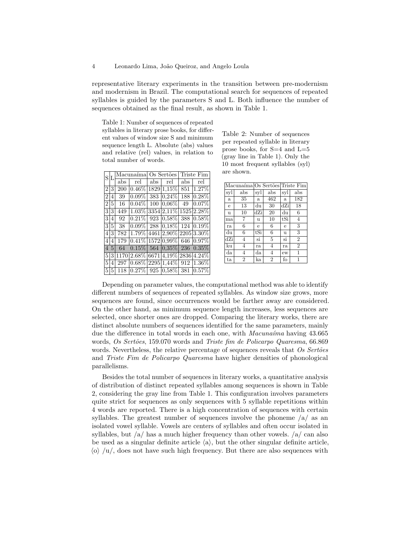$\sqrt{4}$ 

representative literary experiments in the transition between pre-modernism and modernism in Brazil. The computational search for sequences of repeated syllables is guided by the parameters S and L. Both influence the number of sequences obtained as the final result, as shown in Table 1.

Table 1: Number of sequences of repeated syllables in literary prose books, for different values of window size S and minimum sequence length L. Absolute (abs) values and relative (rel) values, in relation to total number of words.

| S              | L              | Macunaíma Os Sertões |                                                                        |     |                       | Triste Fim |                             | are                  |
|----------------|----------------|----------------------|------------------------------------------------------------------------|-----|-----------------------|------------|-----------------------------|----------------------|
|                |                | abs                  | rel                                                                    | abs | rel                   | abs        | rel                         | M <sub>i</sub>       |
| $\overline{2}$ | 3              | 200                  | $ 0.46\% 1829 1.15\% $                                                 |     |                       | 851        | 1.27%                       | sy                   |
| $\overline{2}$ | 4              | 39                   | $0.09\%$                                                               |     | $383 0.24\% $         | 188        | $ 0.28\%$                   | a                    |
| $\overline{2}$ | 5              | 16                   | $0.04\%$                                                               |     | $100 0.06\% $         | 49         | $0.07\%$                    | e                    |
| 3              | 3              | 449                  | $ 1.03\% $                                                             |     | 3354 2,11% 1525 2.28% |            |                             | $\mathbf{u}$         |
| 3              | 4              | 92                   | $\overline{0.21\%}$                                                    |     |                       |            | 923 0.58% 388 0.58%         | m                    |
| 3              | $\overline{5}$ | 38                   | $\overline{0.09\%}$                                                    |     |                       |            | $288  0.18\%  124  0.19\% $ | ra                   |
| $\overline{4}$ | 3              |                      | 782 1.79% 4461 2,90% 2205 3.30%                                        |     |                       |            |                             | du                   |
| 4              | 4              | 179                  | $\boxed{0.41\% \,1572\, 0.99\% \,646\, 0.97\% }$                       |     |                       |            |                             | dZ                   |
| $\overline{4}$ | $\overline{5}$ | 64                   | $\vert 0.15\% \vert$ 564 $\vert 0.35\% \vert$ 236 $\vert 0.35\% \vert$ |     |                       |            |                             | kυ                   |
| 5              |                |                      | $3 1170 2.68\% 6671 4.19\% 2836 4.24\%$                                |     |                       |            |                             | $d\varepsilon$<br>ta |
| 5              | 4              | 297                  | $ 0.68\% \overline{2295} 1,44\% $ 912 1.36%                            |     |                       |            |                             |                      |
| 5              | 5              |                      | 118 0.27% 925 0.58% 381 0.57%                                          |     |                       |            |                             |                      |

Table 2: Number of sequences per repeated syllable in literary prose books, for  $S=4$  and  $L=5$ (gray line in Table 1). Only the 10 most frequent syllables (syl) are shown.

|             |                |                     |                | Macunaíma Os Sertões Triste Fim |                |
|-------------|----------------|---------------------|----------------|---------------------------------|----------------|
| syl         | $_{\rm abs}$   | syl                 | abs            | syl                             | abs            |
| a           | 35             | a                   | 462            | a                               | 182            |
| e           | 13             | du                  | 30             | dZi                             | 18             |
| $\mathbf u$ | 10             | dZi                 | 20             | du                              | 6              |
| ma          | 7              | $\mathbf u$         | 10             | tSi                             | $\overline{4}$ |
| ra          | 6              | e                   | 6              | e                               | 3              |
| du          | 6              | tSi                 | 6              | u                               | 3              |
| dZi         | 4              | $\overline{\rm si}$ | $\overline{5}$ | $\sin$                          | $\overline{2}$ |
| ku          | 4              | ra                  | $\overline{4}$ | ra                              | $\overline{2}$ |
| da          | 4              | da                  | 4              | ew                              | 1              |
| ta          | $\overline{2}$ | ka                  | $\overline{2}$ | fo                              | 1              |

Depending on parameter values, the computational method was able to identify different numbers of sequences of repeated syllables. As window size grows, more sequences are found, since occurrences would be farther away are considered. On the other hand, as minimum sequence length increases, less sequences are selected, once shorter ones are dropped. Comparing the literary works, there are distinct absolute numbers of sequences identified for the same parameters, mainly due the difference in total words in each one, with Macunaima having 43.665 words, Os Sertões, 159.070 words and Triste fim de Policarpo Quaresma, 66.869 words. Nevertheless, the relative percentage of sequences reveals that Os Sertões and Triste Fim de Policarpo Quaresma have higher densities of phonological parallelisms.

Besides the total number of sequences in literary works, a quantitative analysis of distribution of distinct repeated syllables among sequences is shown in Table 2, considering the gray line from Table 1. This configuration involves parameters quite strict for sequences as only sequences with 5 syllable repetitions within 4 words are reported. There is a high concentration of sequences with certain syllables. The greatest number of sequences involve the phoneme  $\langle a \rangle$  as an isolated vowel syllable. Vowels are centers of syllables and often occur isolated in syllables, but  $\frac{1}{4}$  has a much higher frequency than other vowels.  $\frac{1}{4}$  can also be used as a singular definite article  $\langle a \rangle$ , but the other singular definite article,  $\langle 0 \rangle / u /$ , does not have such high frequency. But there are also sequences with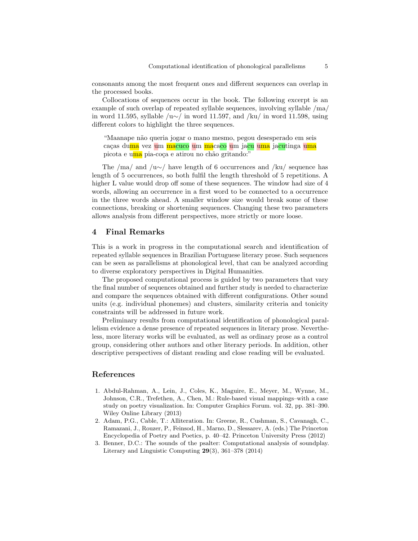consonants among the most frequent ones and different sequences can overlap in the processed books.

Collocations of sequences occur in the book. The following excerpt is an example of such overlap of repeated syllable sequences, involving syllable /ma/ in word 11.595, syllable /u∼/ in word 11.597, and /ku/ in word 11.598, using different colors to highlight the three sequences.

"Maanape n˜ao queria jogar o mano mesmo, pegou desesperado em seis caças duma vez um macuco um macaco um jacu uma jacutinga uma picota e uma pia-coça e atirou no chão gritando:"

The /ma/ and /u∼/ have length of 6 occurrences and /ku/ sequence has length of 5 occurrences, so both fulfil the length threshold of 5 repetitions. A higher L value would drop off some of these sequences. The window had size of 4 words, allowing an occurrence in a first word to be connected to a occurrence in the three words ahead. A smaller window size would break some of these connections, breaking or shortening sequences. Changing these two parameters allows analysis from different perspectives, more strictly or more loose.

# 4 Final Remarks

This is a work in progress in the computational search and identification of repeated syllable sequences in Brazilian Portuguese literary prose. Such sequences can be seen as parallelisms at phonological level, that can be analyzed according to diverse exploratory perspectives in Digital Humanities.

The proposed computational process is guided by two parameters that vary the final number of sequences obtained and further study is needed to characterize and compare the sequences obtained with different configurations. Other sound units (e.g. individual phonemes) and clusters, similarity criteria and tonicity constraints will be addressed in future work.

Preliminary results from computational identification of phonological parallelism evidence a dense presence of repeated sequences in literary prose. Nevertheless, more literary works will be evaluated, as well as ordinary prose as a control group, considering other authors and other literary periods. In addition, other descriptive perspectives of distant reading and close reading will be evaluated.

## References

- 1. Abdul-Rahman, A., Lein, J., Coles, K., Maguire, E., Meyer, M., Wynne, M., Johnson, C.R., Trefethen, A., Chen, M.: Rule-based visual mappings–with a case study on poetry visualization. In: Computer Graphics Forum. vol. 32, pp. 381–390. Wiley Online Library (2013)
- 2. Adam, P.G., Cable, T.: Alliteration. In: Greene, R., Cushman, S., Cavanagh, C., Ramazani, J., Rouzer, P., Feinsod, H., Marno, D., Slessarev, A. (eds.) The Princeton Encyclopedia of Poetry and Poetics, p. 40–42. Princeton University Press (2012)
- 3. Benner, D.C.: The sounds of the psalter: Computational analysis of soundplay. Literary and Linguistic Computing 29(3), 361–378 (2014)